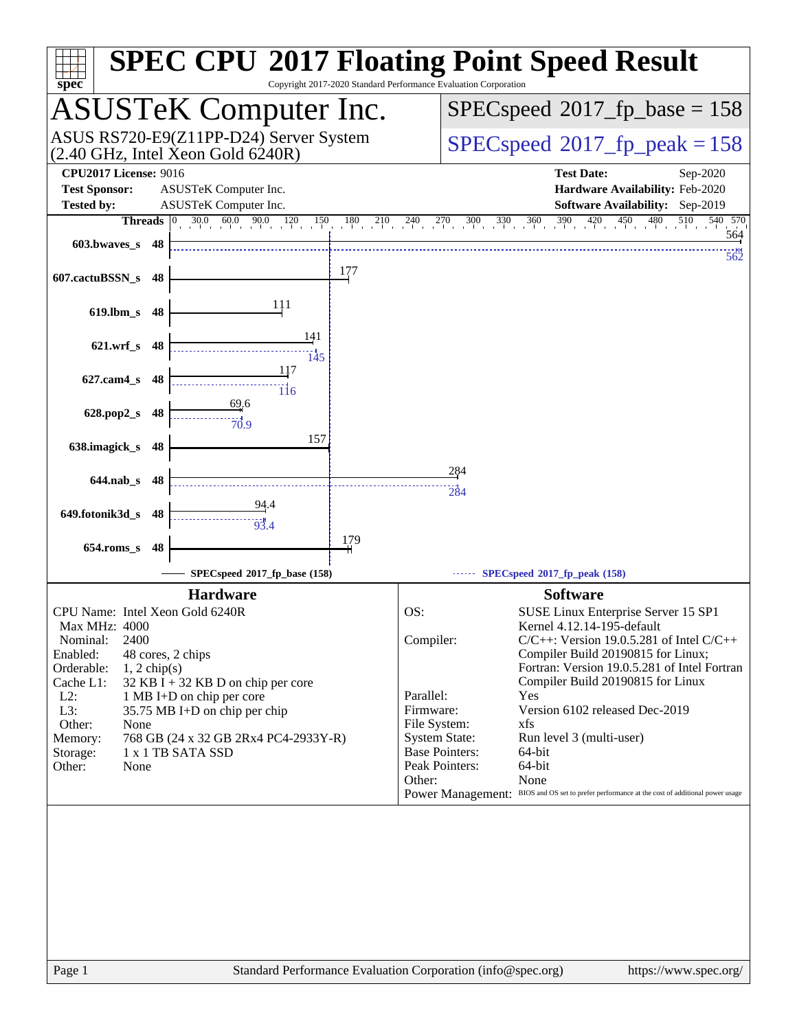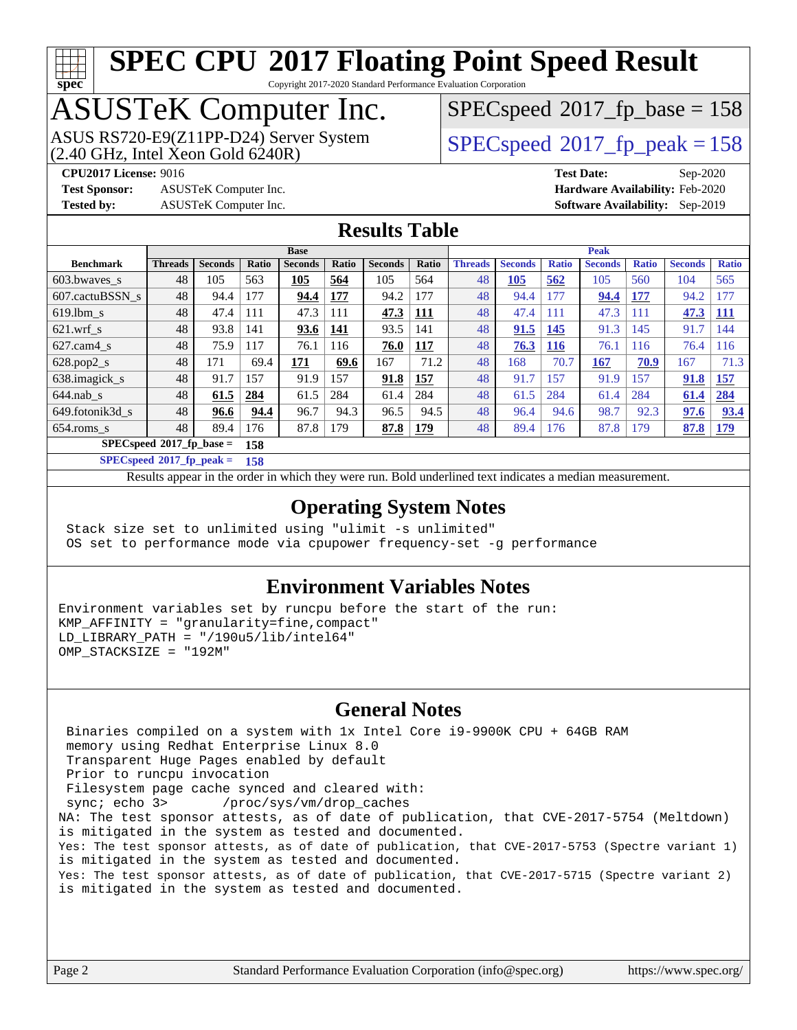

Copyright 2017-2020 Standard Performance Evaluation Corporation

## ASUSTeK Computer Inc.

 $(2.40 \text{ GHz}, \text{Intel } \hat{\text{X}}$ con Gold 6240R) ASUS RS720-E9(Z11PP-D24) Server System  $SPEC speed@2017$  fp\_peak = 158

[SPECspeed](http://www.spec.org/auto/cpu2017/Docs/result-fields.html#SPECspeed2017fpbase)<sup>®</sup>2017 fp base = 158

**[Test Sponsor:](http://www.spec.org/auto/cpu2017/Docs/result-fields.html#TestSponsor)** ASUSTeK Computer Inc. **[Hardware Availability:](http://www.spec.org/auto/cpu2017/Docs/result-fields.html#HardwareAvailability)** Feb-2020

**[CPU2017 License:](http://www.spec.org/auto/cpu2017/Docs/result-fields.html#CPU2017License)** 9016 **[Test Date:](http://www.spec.org/auto/cpu2017/Docs/result-fields.html#TestDate)** Sep-2020 **[Tested by:](http://www.spec.org/auto/cpu2017/Docs/result-fields.html#Testedby)** ASUSTeK Computer Inc. **[Software Availability:](http://www.spec.org/auto/cpu2017/Docs/result-fields.html#SoftwareAvailability)** Sep-2019

### **[Results Table](http://www.spec.org/auto/cpu2017/Docs/result-fields.html#ResultsTable)**

|                          |                |                |       | <b>Base</b>    |       |                |            |                |                   |              | <b>Peak</b>    |              |                |              |
|--------------------------|----------------|----------------|-------|----------------|-------|----------------|------------|----------------|-------------------|--------------|----------------|--------------|----------------|--------------|
| <b>Benchmark</b>         | <b>Threads</b> | <b>Seconds</b> | Ratio | <b>Seconds</b> | Ratio | <b>Seconds</b> | Ratio      | <b>Threads</b> | <b>Seconds</b>    | <b>Ratio</b> | <b>Seconds</b> | <b>Ratio</b> | <b>Seconds</b> | <b>Ratio</b> |
| 603.bwayes s             | 48             | 105            | 563   | 105            | 564   | 105            | 564        | 48             | $\underline{105}$ | 562          | 105            | 560          | 104            | 565          |
| 607.cactuBSSN s          | 48             | 94.4           | 177   | 94.4           | 177   | 94.2           | 177        | 48             | 94.4              | 177          | 94.4           | 177          | 94.2           | 177          |
| $619.1$ bm s             | 48             | 47.4           | 111   | 47.3           | 111   | 47.3           | 111        | 48             | 47.4              | 111          | 47.3           | 111          | 47.3           | <b>111</b>   |
| $621.wrf$ s              | 48             | 93.8           | 141   | 93.6           | 141   | 93.5           | 141        | 48             | 91.5              | 145          | 91.3           | 145          | 91.7           | 144          |
| $627$ .cam $4 \text{ s}$ | 48             | 75.9           | 117   | 76.1           | 116   | 76.0           | <u>117</u> | 48             | 76.3              | <b>116</b>   | 76.1           | 116          | 76.4           | 116          |
| $628.pop2_s$             | 48             | 171            | 69.4  | 171            | 69.6  | 167            | 71.2       | 48             | 168               | 70.7         | 167            | 70.9         | 167            | 71.3         |
| 638.imagick_s            | 48             | 91.7           | 157   | 91.9           | 157   | 91.8           | 157        | 48             | 91.7              | 157          | 91.9           | 157          | 91.8           | 157          |
| $644$ .nab s             | 48             | 61.5           | 284   | 61.5           | 284   | 61.4           | 284        | 48             | 61.5              | 284          | 61.4           | 284          | 61.4           | 284          |
| 649.fotonik3d s          | 48             | 96.6           | 94.4  | 96.7           | 94.3  | 96.5           | 94.5       | 48             | 96.4              | 94.6         | 98.7           | 92.3         | 97.6           | 93.4         |
| $654$ .roms s            | 48             | 89.4           | 176   | 87.8           | 179   | 87.8           | 179        | 48             | 89.4              | 176          | 87.8           | 179          | 87.8           | 179          |
| SPECspeed®2017_fp_base = |                |                | 158   |                |       |                |            |                |                   |              |                |              |                |              |

**[SPECspeed](http://www.spec.org/auto/cpu2017/Docs/result-fields.html#SPECspeed2017fppeak)[2017\\_fp\\_peak =](http://www.spec.org/auto/cpu2017/Docs/result-fields.html#SPECspeed2017fppeak) 158**

Results appear in the [order in which they were run.](http://www.spec.org/auto/cpu2017/Docs/result-fields.html#RunOrder) Bold underlined text [indicates a median measurement](http://www.spec.org/auto/cpu2017/Docs/result-fields.html#Median).

### **[Operating System Notes](http://www.spec.org/auto/cpu2017/Docs/result-fields.html#OperatingSystemNotes)**

 Stack size set to unlimited using "ulimit -s unlimited" OS set to performance mode via cpupower frequency-set -g performance

### **[Environment Variables Notes](http://www.spec.org/auto/cpu2017/Docs/result-fields.html#EnvironmentVariablesNotes)**

Environment variables set by runcpu before the start of the run: KMP\_AFFINITY = "granularity=fine,compact" LD LIBRARY PATH =  $\sqrt{190u5/lib/intel64}$ " OMP\_STACKSIZE = "192M"

### **[General Notes](http://www.spec.org/auto/cpu2017/Docs/result-fields.html#GeneralNotes)**

 Binaries compiled on a system with 1x Intel Core i9-9900K CPU + 64GB RAM memory using Redhat Enterprise Linux 8.0 Transparent Huge Pages enabled by default Prior to runcpu invocation Filesystem page cache synced and cleared with: sync; echo 3> /proc/sys/vm/drop\_caches NA: The test sponsor attests, as of date of publication, that CVE-2017-5754 (Meltdown) is mitigated in the system as tested and documented. Yes: The test sponsor attests, as of date of publication, that CVE-2017-5753 (Spectre variant 1) is mitigated in the system as tested and documented. Yes: The test sponsor attests, as of date of publication, that CVE-2017-5715 (Spectre variant 2) is mitigated in the system as tested and documented.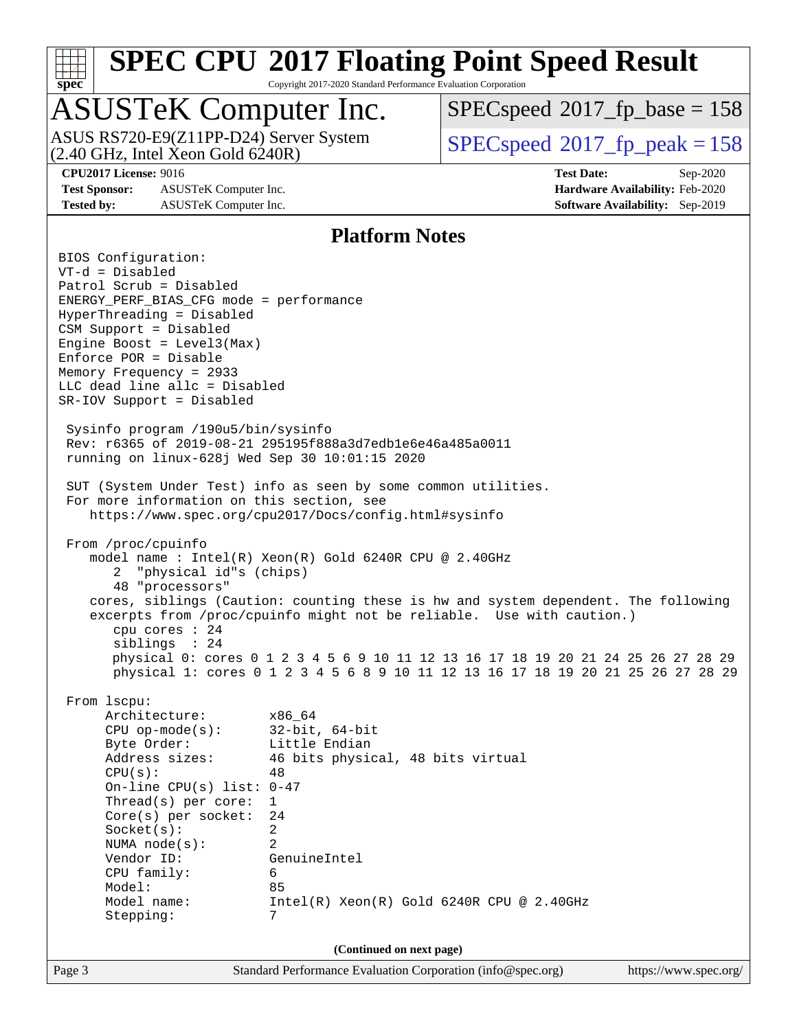

Copyright 2017-2020 Standard Performance Evaluation Corporation

## ASUSTeK Computer Inc.

ASUS RS720-E9(Z11PP-D24) Server System<br>(2.40 GHz, Intel Xeon Gold 6240R)

[SPECspeed](http://www.spec.org/auto/cpu2017/Docs/result-fields.html#SPECspeed2017fpbase)<sup>®</sup>2017 fp base = 158

[SPECspeed](http://www.spec.org/auto/cpu2017/Docs/result-fields.html#SPECspeed2017fppeak)<sup>®</sup>2017 fp peak = 158

**[Test Sponsor:](http://www.spec.org/auto/cpu2017/Docs/result-fields.html#TestSponsor)** ASUSTeK Computer Inc. **[Hardware Availability:](http://www.spec.org/auto/cpu2017/Docs/result-fields.html#HardwareAvailability)** Feb-2020 **[Tested by:](http://www.spec.org/auto/cpu2017/Docs/result-fields.html#Testedby)** ASUSTeK Computer Inc. **[Software Availability:](http://www.spec.org/auto/cpu2017/Docs/result-fields.html#SoftwareAvailability)** Sep-2019

**[CPU2017 License:](http://www.spec.org/auto/cpu2017/Docs/result-fields.html#CPU2017License)** 9016 **[Test Date:](http://www.spec.org/auto/cpu2017/Docs/result-fields.html#TestDate)** Sep-2020

### **[Platform Notes](http://www.spec.org/auto/cpu2017/Docs/result-fields.html#PlatformNotes)**

Page 3 Standard Performance Evaluation Corporation [\(info@spec.org\)](mailto:info@spec.org) <https://www.spec.org/> BIOS Configuration: VT-d = Disabled Patrol Scrub = Disabled ENERGY\_PERF\_BIAS\_CFG mode = performance HyperThreading = Disabled CSM Support = Disabled Engine Boost = Level3(Max) Enforce POR = Disable Memory Frequency = 2933 LLC dead line allc = Disabled SR-IOV Support = Disabled Sysinfo program /190u5/bin/sysinfo Rev: r6365 of 2019-08-21 295195f888a3d7edb1e6e46a485a0011 running on linux-628j Wed Sep 30 10:01:15 2020 SUT (System Under Test) info as seen by some common utilities. For more information on this section, see <https://www.spec.org/cpu2017/Docs/config.html#sysinfo> From /proc/cpuinfo model name : Intel(R) Xeon(R) Gold 6240R CPU @ 2.40GHz 2 "physical id"s (chips) 48 "processors" cores, siblings (Caution: counting these is hw and system dependent. The following excerpts from /proc/cpuinfo might not be reliable. Use with caution.) cpu cores : 24 siblings : 24 physical 0: cores 0 1 2 3 4 5 6 9 10 11 12 13 16 17 18 19 20 21 24 25 26 27 28 29 physical 1: cores 0 1 2 3 4 5 6 8 9 10 11 12 13 16 17 18 19 20 21 25 26 27 28 29 From lscpu: Architecture: x86\_64 CPU op-mode(s): 32-bit, 64-bit Byte Order: Little Endian Address sizes: 46 bits physical, 48 bits virtual  $CPU(s):$  48 On-line CPU(s) list: 0-47 Thread(s) per core: 1 Core(s) per socket: 24 Socket(s): 2 NUMA node(s): 2 Vendor ID: GenuineIntel CPU family: 6 Model: 85 Model name: Intel(R) Xeon(R) Gold 6240R CPU @ 2.40GHz Stepping: 7 **(Continued on next page)**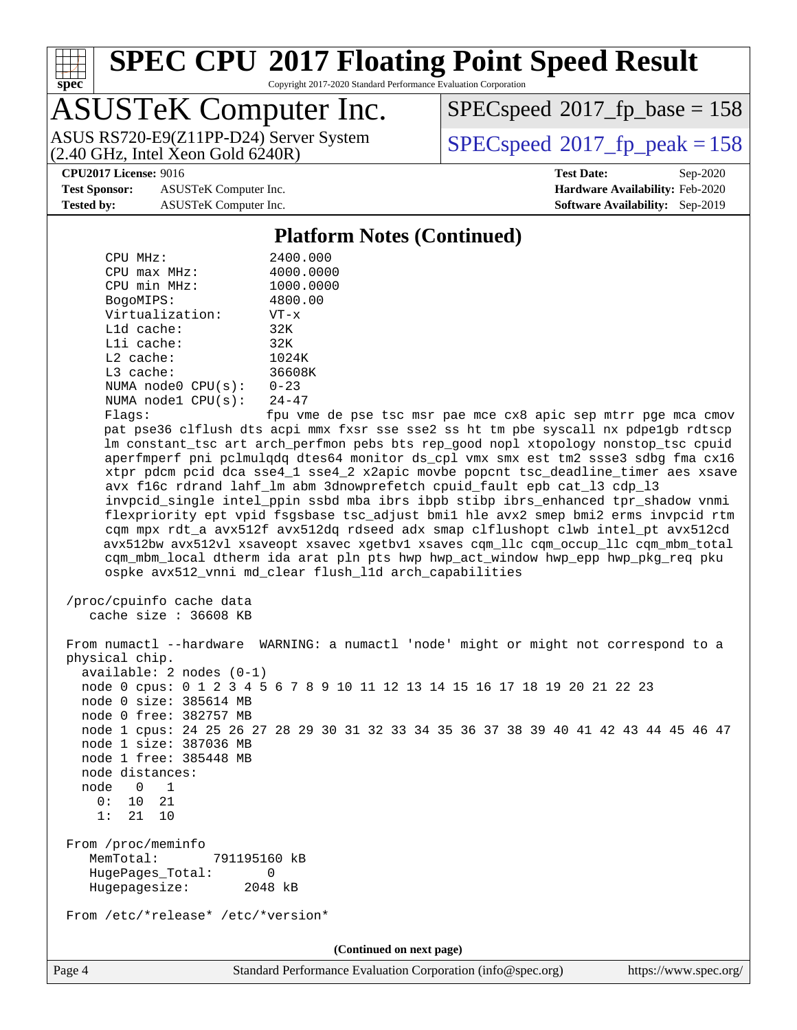

Copyright 2017-2020 Standard Performance Evaluation Corporation

## ASUSTeK Computer Inc.

 $(2.40 \text{ GHz}, \text{Intel } \hat{\text{X}}$ con Gold 6240R) ASUS RS720-E9(Z11PP-D24) Server System  $SPEC speed@2017$  fp\_peak = 158

[SPECspeed](http://www.spec.org/auto/cpu2017/Docs/result-fields.html#SPECspeed2017fpbase)<sup>®</sup>2017 fp base = 158

**[Test Sponsor:](http://www.spec.org/auto/cpu2017/Docs/result-fields.html#TestSponsor)** ASUSTeK Computer Inc. **[Hardware Availability:](http://www.spec.org/auto/cpu2017/Docs/result-fields.html#HardwareAvailability)** Feb-2020 **[Tested by:](http://www.spec.org/auto/cpu2017/Docs/result-fields.html#Testedby)** ASUSTeK Computer Inc. **[Software Availability:](http://www.spec.org/auto/cpu2017/Docs/result-fields.html#SoftwareAvailability)** Sep-2019

**[CPU2017 License:](http://www.spec.org/auto/cpu2017/Docs/result-fields.html#CPU2017License)** 9016 **[Test Date:](http://www.spec.org/auto/cpu2017/Docs/result-fields.html#TestDate)** Sep-2020

### **[Platform Notes \(Continued\)](http://www.spec.org/auto/cpu2017/Docs/result-fields.html#PlatformNotes)**

| CPU MHz:                   | 2400.000                                          |
|----------------------------|---------------------------------------------------|
| $CPU$ max $MHz$ :          | 4000.0000                                         |
| CPU min MHz:               | 1000.0000                                         |
| BogoMIPS:                  | 4800.00                                           |
| Virtualization:            | $VT - x$                                          |
| $L1d$ cache:               | 32K                                               |
| $L1i$ cache:               | 32K                                               |
| $L2$ cache:                | 1024K                                             |
| $L3$ cache:                | 36608K                                            |
| NUMA node0 CPU(s):         | $0 - 23$                                          |
| NUMA nodel $CPU(s): 24-47$ |                                                   |
|                            | $\mathcal{L}$ and $\mathcal{L}$ and $\mathcal{L}$ |

 Flags: fpu vme de pse tsc msr pae mce cx8 apic sep mtrr pge mca cmov pat pse36 clflush dts acpi mmx fxsr sse sse2 ss ht tm pbe syscall nx pdpe1gb rdtscp lm constant\_tsc art arch\_perfmon pebs bts rep\_good nopl xtopology nonstop\_tsc cpuid aperfmperf pni pclmulqdq dtes64 monitor ds\_cpl vmx smx est tm2 ssse3 sdbg fma cx16 xtpr pdcm pcid dca sse4\_1 sse4\_2 x2apic movbe popcnt tsc\_deadline\_timer aes xsave avx f16c rdrand lahf\_lm abm 3dnowprefetch cpuid\_fault epb cat\_l3 cdp\_l3 invpcid\_single intel\_ppin ssbd mba ibrs ibpb stibp ibrs\_enhanced tpr\_shadow vnmi flexpriority ept vpid fsgsbase tsc\_adjust bmi1 hle avx2 smep bmi2 erms invpcid rtm cqm mpx rdt\_a avx512f avx512dq rdseed adx smap clflushopt clwb intel\_pt avx512cd avx512bw avx512vl xsaveopt xsavec xgetbv1 xsaves cqm\_llc cqm\_occup\_llc cqm\_mbm\_total cqm\_mbm\_local dtherm ida arat pln pts hwp hwp\_act\_window hwp\_epp hwp\_pkg\_req pku ospke avx512\_vnni md\_clear flush\_l1d arch\_capabilities

```
 /proc/cpuinfo cache data
   cache size : 36608 KB
```
 From numactl --hardware WARNING: a numactl 'node' might or might not correspond to a physical chip. available: 2 nodes (0-1) node 0 cpus: 0 1 2 3 4 5 6 7 8 9 10 11 12 13 14 15 16 17 18 19 20 21 22 23 node 0 size: 385614 MB node 0 free: 382757 MB node 1 cpus: 24 25 26 27 28 29 30 31 32 33 34 35 36 37 38 39 40 41 42 43 44 45 46 47 node 1 size: 387036 MB node 1 free: 385448 MB node distances: node 0 1 0: 10 21 1: 21 10 From /proc/meminfo MemTotal: 791195160 kB HugePages\_Total: 0 Hugepagesize: 2048 kB From /etc/\*release\* /etc/\*version\* **(Continued on next page)**

Page 4 Standard Performance Evaluation Corporation [\(info@spec.org\)](mailto:info@spec.org) <https://www.spec.org/>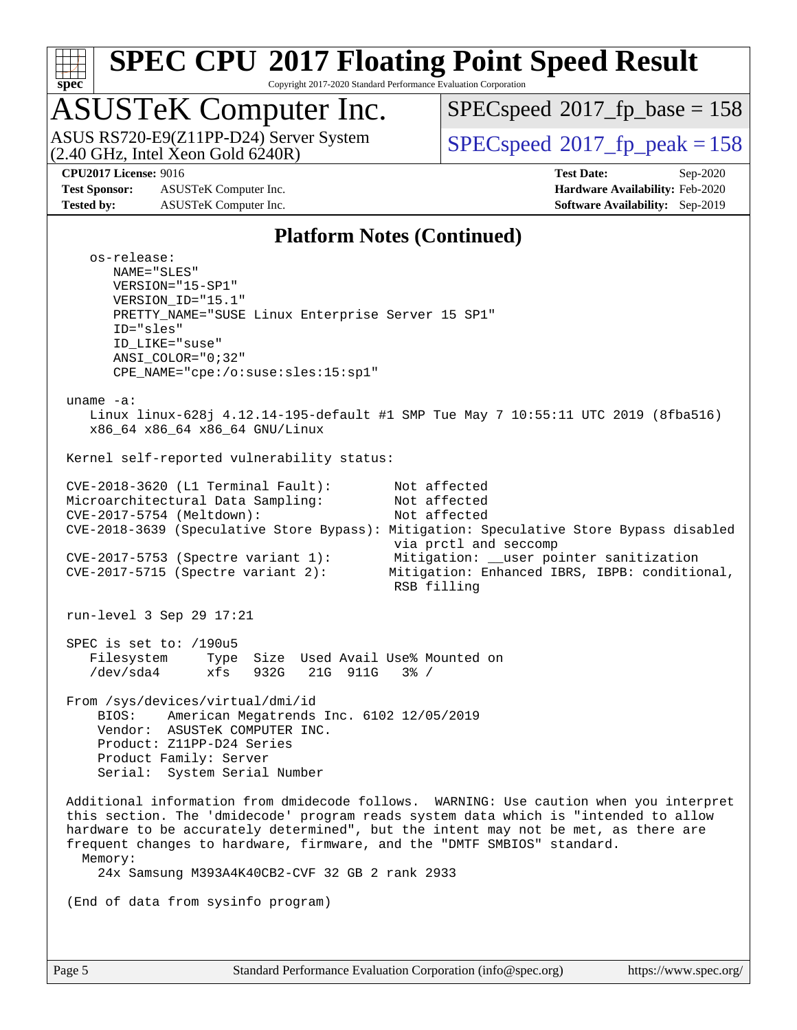

Copyright 2017-2020 Standard Performance Evaluation Corporation

## ASUSTeK Computer Inc.

 $(2.40 \text{ GHz}, \text{Intel } \hat{\text{X}}$ con Gold 6240R) ASUS RS720-E9(Z11PP-D24) Server System  $SBEC speed@2017$  fp\_peak = 158

[SPECspeed](http://www.spec.org/auto/cpu2017/Docs/result-fields.html#SPECspeed2017fpbase)<sup>®</sup>2017 fp base = 158

**[Test Sponsor:](http://www.spec.org/auto/cpu2017/Docs/result-fields.html#TestSponsor)** ASUSTeK Computer Inc. **[Hardware Availability:](http://www.spec.org/auto/cpu2017/Docs/result-fields.html#HardwareAvailability)** Feb-2020 **[Tested by:](http://www.spec.org/auto/cpu2017/Docs/result-fields.html#Testedby)** ASUSTeK Computer Inc. **[Software Availability:](http://www.spec.org/auto/cpu2017/Docs/result-fields.html#SoftwareAvailability)** Sep-2019

**[CPU2017 License:](http://www.spec.org/auto/cpu2017/Docs/result-fields.html#CPU2017License)** 9016 **[Test Date:](http://www.spec.org/auto/cpu2017/Docs/result-fields.html#TestDate)** Sep-2020

### **[Platform Notes \(Continued\)](http://www.spec.org/auto/cpu2017/Docs/result-fields.html#PlatformNotes)**

 os-release: NAME="SLES" VERSION="15-SP1" VERSION\_ID="15.1" PRETTY\_NAME="SUSE Linux Enterprise Server 15 SP1" ID="sles" ID\_LIKE="suse" ANSI\_COLOR="0;32" CPE\_NAME="cpe:/o:suse:sles:15:sp1" uname -a: Linux linux-628j 4.12.14-195-default #1 SMP Tue May 7 10:55:11 UTC 2019 (8fba516) x86\_64 x86\_64 x86\_64 GNU/Linux Kernel self-reported vulnerability status: CVE-2018-3620 (L1 Terminal Fault): Not affected Microarchitectural Data Sampling: Not affected CVE-2017-5754 (Meltdown): Not affected CVE-2018-3639 (Speculative Store Bypass): Mitigation: Speculative Store Bypass disabled via prctl and seccomp CVE-2017-5753 (Spectre variant 1): Mitigation: \_\_user pointer sanitization CVE-2017-5715 (Spectre variant 2): Mitigation: Enhanced IBRS, IBPB: conditional, RSB filling run-level 3 Sep 29 17:21 SPEC is set to: /190u5 Filesystem Type Size Used Avail Use% Mounted on /dev/sda4 xfs 932G 21G 911G 3% / From /sys/devices/virtual/dmi/id BIOS: American Megatrends Inc. 6102 12/05/2019 Vendor: ASUSTeK COMPUTER INC. Product: Z11PP-D24 Series Product Family: Server Serial: System Serial Number Additional information from dmidecode follows. WARNING: Use caution when you interpret this section. The 'dmidecode' program reads system data which is "intended to allow hardware to be accurately determined", but the intent may not be met, as there are frequent changes to hardware, firmware, and the "DMTF SMBIOS" standard. Memory: 24x Samsung M393A4K40CB2-CVF 32 GB 2 rank 2933 (End of data from sysinfo program)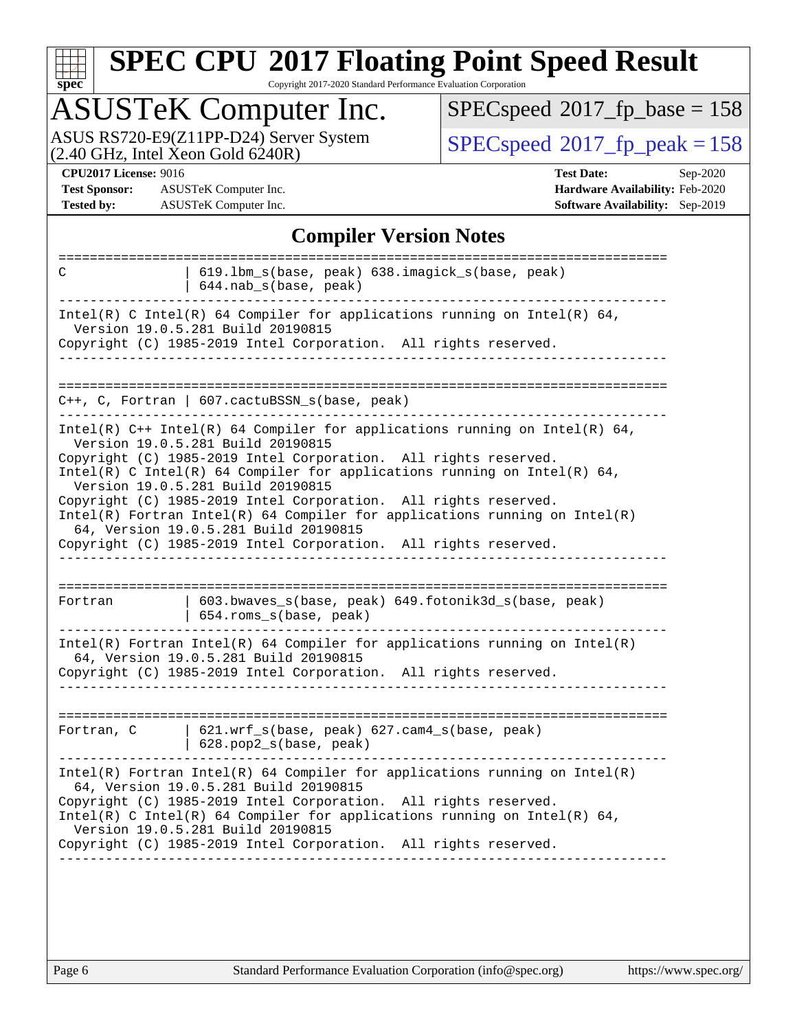| u | Q | е | û |  |
|---|---|---|---|--|

Copyright 2017-2020 Standard Performance Evaluation Corporation

## ASUSTeK Computer Inc.

ASUS RS720-E9(Z11PP-D24) Server System  $(2.40 \text{ GHz}, \text{ Intel Xeon Gold } 6240\text{R})$  [SPECspeed](http://www.spec.org/auto/cpu2017/Docs/result-fields.html#SPECspeed2017fppeak)®[2017\\_fp\\_peak = 1](http://www.spec.org/auto/cpu2017/Docs/result-fields.html#SPECspeed2017fppeak)58

 $SPECspeed^{\circledcirc}2017_fp\_base = 158$  $SPECspeed^{\circledcirc}2017_fp\_base = 158$ 

**[Test Sponsor:](http://www.spec.org/auto/cpu2017/Docs/result-fields.html#TestSponsor)** ASUSTeK Computer Inc. **[Hardware Availability:](http://www.spec.org/auto/cpu2017/Docs/result-fields.html#HardwareAvailability)** Feb-2020 **[Tested by:](http://www.spec.org/auto/cpu2017/Docs/result-fields.html#Testedby)** ASUSTeK Computer Inc. **[Software Availability:](http://www.spec.org/auto/cpu2017/Docs/result-fields.html#SoftwareAvailability)** Sep-2019

**[CPU2017 License:](http://www.spec.org/auto/cpu2017/Docs/result-fields.html#CPU2017License)** 9016 **[Test Date:](http://www.spec.org/auto/cpu2017/Docs/result-fields.html#TestDate)** Sep-2020

### **[Compiler Version Notes](http://www.spec.org/auto/cpu2017/Docs/result-fields.html#CompilerVersionNotes)**

| C          | 619.1bm_s(base, peak) 638.imagick_s(base, peak)<br>644.nab_s(base, peak)                                                                                                                                                                                                                                                                                                     |
|------------|------------------------------------------------------------------------------------------------------------------------------------------------------------------------------------------------------------------------------------------------------------------------------------------------------------------------------------------------------------------------------|
|            | Intel(R) C Intel(R) 64 Compiler for applications running on Intel(R) 64,<br>Version 19.0.5.281 Build 20190815<br>Copyright (C) 1985-2019 Intel Corporation. All rights reserved.                                                                                                                                                                                             |
|            |                                                                                                                                                                                                                                                                                                                                                                              |
|            | $C_{++}$ , C, Fortran   607.cactuBSSN s(base, peak)                                                                                                                                                                                                                                                                                                                          |
|            | Intel(R) $C++$ Intel(R) 64 Compiler for applications running on Intel(R) 64,<br>Version 19.0.5.281 Build 20190815<br>Copyright (C) 1985-2019 Intel Corporation. All rights reserved.<br>Intel(R) C Intel(R) 64 Compiler for applications running on Intel(R) 64,                                                                                                             |
|            | Version 19.0.5.281 Build 20190815<br>Copyright (C) 1985-2019 Intel Corporation. All rights reserved.<br>$Intel(R)$ Fortran Intel(R) 64 Compiler for applications running on Intel(R)<br>64, Version 19.0.5.281 Build 20190815<br>Copyright (C) 1985-2019 Intel Corporation. All rights reserved.                                                                             |
|            |                                                                                                                                                                                                                                                                                                                                                                              |
| Fortran    | 603.bwaves_s(base, peak) 649.fotonik3d_s(base, peak)<br>654.roms_s(base, peak)                                                                                                                                                                                                                                                                                               |
|            | $Intel(R)$ Fortran Intel(R) 64 Compiler for applications running on Intel(R)<br>64, Version 19.0.5.281 Build 20190815<br>Copyright (C) 1985-2019 Intel Corporation. All rights reserved.                                                                                                                                                                                     |
|            |                                                                                                                                                                                                                                                                                                                                                                              |
| Fortran, C | 621.wrf_s(base, peak) 627.cam4_s(base, peak)<br>628.pop2_s(base, peak)                                                                                                                                                                                                                                                                                                       |
|            | $Intel(R)$ Fortran Intel(R) 64 Compiler for applications running on Intel(R)<br>64, Version 19.0.5.281 Build 20190815<br>Copyright (C) 1985-2019 Intel Corporation. All rights reserved.<br>Intel(R) C Intel(R) 64 Compiler for applications running on Intel(R) 64,<br>Version 19.0.5.281 Build 20190815<br>Copyright (C) 1985-2019 Intel Corporation. All rights reserved. |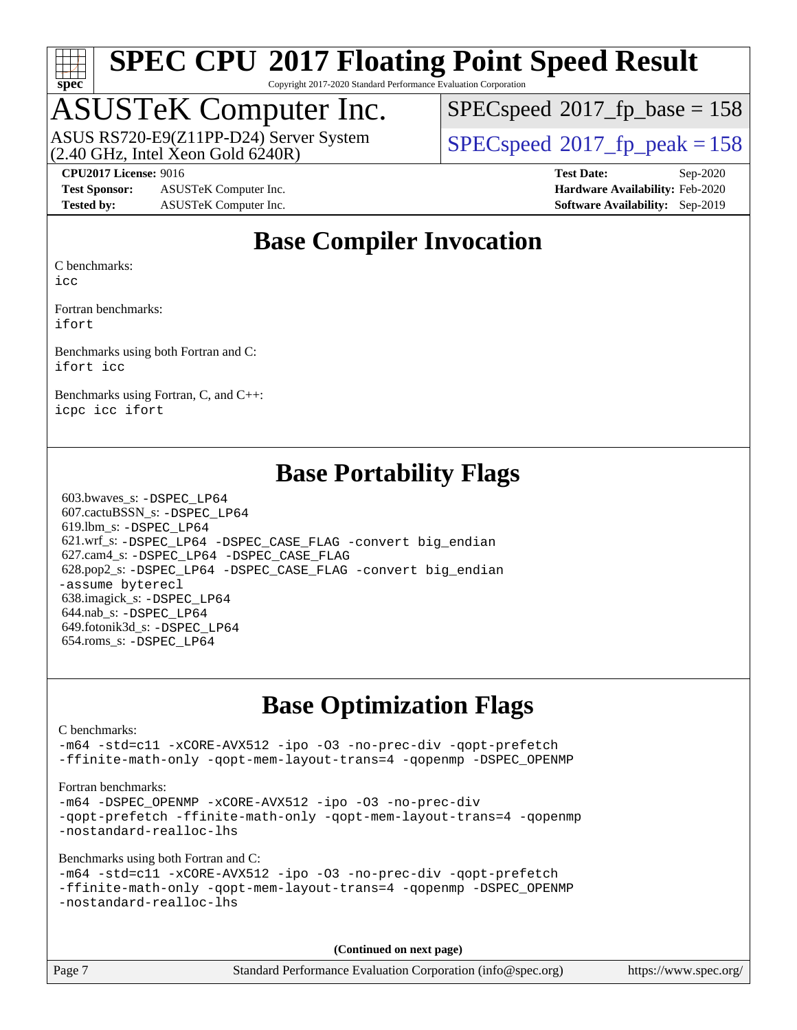

Copyright 2017-2020 Standard Performance Evaluation Corporation

## ASUSTeK Computer Inc.

 $(2.40 \text{ GHz}, \text{Intel Xeon Gold } 6240 \text{R})$ ASUS RS720-E9(Z11PP-D24) Server System  $SPEC speed@2017$  fp\_peak = 158

[SPECspeed](http://www.spec.org/auto/cpu2017/Docs/result-fields.html#SPECspeed2017fpbase)<sup>®</sup>2017 fp base = 158

**[Test Sponsor:](http://www.spec.org/auto/cpu2017/Docs/result-fields.html#TestSponsor)** ASUSTeK Computer Inc. **[Hardware Availability:](http://www.spec.org/auto/cpu2017/Docs/result-fields.html#HardwareAvailability)** Feb-2020 **[Tested by:](http://www.spec.org/auto/cpu2017/Docs/result-fields.html#Testedby)** ASUSTeK Computer Inc. **[Software Availability:](http://www.spec.org/auto/cpu2017/Docs/result-fields.html#SoftwareAvailability)** Sep-2019

**[CPU2017 License:](http://www.spec.org/auto/cpu2017/Docs/result-fields.html#CPU2017License)** 9016 **[Test Date:](http://www.spec.org/auto/cpu2017/Docs/result-fields.html#TestDate)** Sep-2020

### **[Base Compiler Invocation](http://www.spec.org/auto/cpu2017/Docs/result-fields.html#BaseCompilerInvocation)**

[C benchmarks:](http://www.spec.org/auto/cpu2017/Docs/result-fields.html#Cbenchmarks)

[icc](http://www.spec.org/cpu2017/results/res2020q4/cpu2017-20201023-24239.flags.html#user_CCbase_intel_icc_66fc1ee009f7361af1fbd72ca7dcefbb700085f36577c54f309893dd4ec40d12360134090235512931783d35fd58c0460139e722d5067c5574d8eaf2b3e37e92)

[Fortran benchmarks](http://www.spec.org/auto/cpu2017/Docs/result-fields.html#Fortranbenchmarks): [ifort](http://www.spec.org/cpu2017/results/res2020q4/cpu2017-20201023-24239.flags.html#user_FCbase_intel_ifort_8111460550e3ca792625aed983ce982f94888b8b503583aa7ba2b8303487b4d8a21a13e7191a45c5fd58ff318f48f9492884d4413fa793fd88dd292cad7027ca)

[Benchmarks using both Fortran and C:](http://www.spec.org/auto/cpu2017/Docs/result-fields.html#BenchmarksusingbothFortranandC) [ifort](http://www.spec.org/cpu2017/results/res2020q4/cpu2017-20201023-24239.flags.html#user_CC_FCbase_intel_ifort_8111460550e3ca792625aed983ce982f94888b8b503583aa7ba2b8303487b4d8a21a13e7191a45c5fd58ff318f48f9492884d4413fa793fd88dd292cad7027ca) [icc](http://www.spec.org/cpu2017/results/res2020q4/cpu2017-20201023-24239.flags.html#user_CC_FCbase_intel_icc_66fc1ee009f7361af1fbd72ca7dcefbb700085f36577c54f309893dd4ec40d12360134090235512931783d35fd58c0460139e722d5067c5574d8eaf2b3e37e92)

[Benchmarks using Fortran, C, and C++:](http://www.spec.org/auto/cpu2017/Docs/result-fields.html#BenchmarksusingFortranCandCXX) [icpc](http://www.spec.org/cpu2017/results/res2020q4/cpu2017-20201023-24239.flags.html#user_CC_CXX_FCbase_intel_icpc_c510b6838c7f56d33e37e94d029a35b4a7bccf4766a728ee175e80a419847e808290a9b78be685c44ab727ea267ec2f070ec5dc83b407c0218cded6866a35d07) [icc](http://www.spec.org/cpu2017/results/res2020q4/cpu2017-20201023-24239.flags.html#user_CC_CXX_FCbase_intel_icc_66fc1ee009f7361af1fbd72ca7dcefbb700085f36577c54f309893dd4ec40d12360134090235512931783d35fd58c0460139e722d5067c5574d8eaf2b3e37e92) [ifort](http://www.spec.org/cpu2017/results/res2020q4/cpu2017-20201023-24239.flags.html#user_CC_CXX_FCbase_intel_ifort_8111460550e3ca792625aed983ce982f94888b8b503583aa7ba2b8303487b4d8a21a13e7191a45c5fd58ff318f48f9492884d4413fa793fd88dd292cad7027ca)

### **[Base Portability Flags](http://www.spec.org/auto/cpu2017/Docs/result-fields.html#BasePortabilityFlags)**

 603.bwaves\_s: [-DSPEC\\_LP64](http://www.spec.org/cpu2017/results/res2020q4/cpu2017-20201023-24239.flags.html#suite_basePORTABILITY603_bwaves_s_DSPEC_LP64) 607.cactuBSSN\_s: [-DSPEC\\_LP64](http://www.spec.org/cpu2017/results/res2020q4/cpu2017-20201023-24239.flags.html#suite_basePORTABILITY607_cactuBSSN_s_DSPEC_LP64) 619.lbm\_s: [-DSPEC\\_LP64](http://www.spec.org/cpu2017/results/res2020q4/cpu2017-20201023-24239.flags.html#suite_basePORTABILITY619_lbm_s_DSPEC_LP64) 621.wrf\_s: [-DSPEC\\_LP64](http://www.spec.org/cpu2017/results/res2020q4/cpu2017-20201023-24239.flags.html#suite_basePORTABILITY621_wrf_s_DSPEC_LP64) [-DSPEC\\_CASE\\_FLAG](http://www.spec.org/cpu2017/results/res2020q4/cpu2017-20201023-24239.flags.html#b621.wrf_s_baseCPORTABILITY_DSPEC_CASE_FLAG) [-convert big\\_endian](http://www.spec.org/cpu2017/results/res2020q4/cpu2017-20201023-24239.flags.html#user_baseFPORTABILITY621_wrf_s_convert_big_endian_c3194028bc08c63ac5d04de18c48ce6d347e4e562e8892b8bdbdc0214820426deb8554edfa529a3fb25a586e65a3d812c835984020483e7e73212c4d31a38223) 627.cam4\_s: [-DSPEC\\_LP64](http://www.spec.org/cpu2017/results/res2020q4/cpu2017-20201023-24239.flags.html#suite_basePORTABILITY627_cam4_s_DSPEC_LP64) [-DSPEC\\_CASE\\_FLAG](http://www.spec.org/cpu2017/results/res2020q4/cpu2017-20201023-24239.flags.html#b627.cam4_s_baseCPORTABILITY_DSPEC_CASE_FLAG) 628.pop2\_s: [-DSPEC\\_LP64](http://www.spec.org/cpu2017/results/res2020q4/cpu2017-20201023-24239.flags.html#suite_basePORTABILITY628_pop2_s_DSPEC_LP64) [-DSPEC\\_CASE\\_FLAG](http://www.spec.org/cpu2017/results/res2020q4/cpu2017-20201023-24239.flags.html#b628.pop2_s_baseCPORTABILITY_DSPEC_CASE_FLAG) [-convert big\\_endian](http://www.spec.org/cpu2017/results/res2020q4/cpu2017-20201023-24239.flags.html#user_baseFPORTABILITY628_pop2_s_convert_big_endian_c3194028bc08c63ac5d04de18c48ce6d347e4e562e8892b8bdbdc0214820426deb8554edfa529a3fb25a586e65a3d812c835984020483e7e73212c4d31a38223) [-assume byterecl](http://www.spec.org/cpu2017/results/res2020q4/cpu2017-20201023-24239.flags.html#user_baseFPORTABILITY628_pop2_s_assume_byterecl_7e47d18b9513cf18525430bbf0f2177aa9bf368bc7a059c09b2c06a34b53bd3447c950d3f8d6c70e3faf3a05c8557d66a5798b567902e8849adc142926523472) 638.imagick\_s: [-DSPEC\\_LP64](http://www.spec.org/cpu2017/results/res2020q4/cpu2017-20201023-24239.flags.html#suite_basePORTABILITY638_imagick_s_DSPEC_LP64) 644.nab\_s: [-DSPEC\\_LP64](http://www.spec.org/cpu2017/results/res2020q4/cpu2017-20201023-24239.flags.html#suite_basePORTABILITY644_nab_s_DSPEC_LP64) 649.fotonik3d\_s: [-DSPEC\\_LP64](http://www.spec.org/cpu2017/results/res2020q4/cpu2017-20201023-24239.flags.html#suite_basePORTABILITY649_fotonik3d_s_DSPEC_LP64) 654.roms\_s: [-DSPEC\\_LP64](http://www.spec.org/cpu2017/results/res2020q4/cpu2017-20201023-24239.flags.html#suite_basePORTABILITY654_roms_s_DSPEC_LP64)

### **[Base Optimization Flags](http://www.spec.org/auto/cpu2017/Docs/result-fields.html#BaseOptimizationFlags)**

[C benchmarks](http://www.spec.org/auto/cpu2017/Docs/result-fields.html#Cbenchmarks):

[-m64](http://www.spec.org/cpu2017/results/res2020q4/cpu2017-20201023-24239.flags.html#user_CCbase_m64-icc) [-std=c11](http://www.spec.org/cpu2017/results/res2020q4/cpu2017-20201023-24239.flags.html#user_CCbase_std-icc-std_0e1c27790398a4642dfca32ffe6c27b5796f9c2d2676156f2e42c9c44eaad0c049b1cdb667a270c34d979996257aeb8fc440bfb01818dbc9357bd9d174cb8524) [-xCORE-AVX512](http://www.spec.org/cpu2017/results/res2020q4/cpu2017-20201023-24239.flags.html#user_CCbase_f-xCORE-AVX512) [-ipo](http://www.spec.org/cpu2017/results/res2020q4/cpu2017-20201023-24239.flags.html#user_CCbase_f-ipo) [-O3](http://www.spec.org/cpu2017/results/res2020q4/cpu2017-20201023-24239.flags.html#user_CCbase_f-O3) [-no-prec-div](http://www.spec.org/cpu2017/results/res2020q4/cpu2017-20201023-24239.flags.html#user_CCbase_f-no-prec-div) [-qopt-prefetch](http://www.spec.org/cpu2017/results/res2020q4/cpu2017-20201023-24239.flags.html#user_CCbase_f-qopt-prefetch) [-ffinite-math-only](http://www.spec.org/cpu2017/results/res2020q4/cpu2017-20201023-24239.flags.html#user_CCbase_f_finite_math_only_cb91587bd2077682c4b38af759c288ed7c732db004271a9512da14a4f8007909a5f1427ecbf1a0fb78ff2a814402c6114ac565ca162485bbcae155b5e4258871) [-qopt-mem-layout-trans=4](http://www.spec.org/cpu2017/results/res2020q4/cpu2017-20201023-24239.flags.html#user_CCbase_f-qopt-mem-layout-trans_fa39e755916c150a61361b7846f310bcdf6f04e385ef281cadf3647acec3f0ae266d1a1d22d972a7087a248fd4e6ca390a3634700869573d231a252c784941a8) [-qopenmp](http://www.spec.org/cpu2017/results/res2020q4/cpu2017-20201023-24239.flags.html#user_CCbase_qopenmp_16be0c44f24f464004c6784a7acb94aca937f053568ce72f94b139a11c7c168634a55f6653758ddd83bcf7b8463e8028bb0b48b77bcddc6b78d5d95bb1df2967) [-DSPEC\\_OPENMP](http://www.spec.org/cpu2017/results/res2020q4/cpu2017-20201023-24239.flags.html#suite_CCbase_DSPEC_OPENMP)

[Fortran benchmarks](http://www.spec.org/auto/cpu2017/Docs/result-fields.html#Fortranbenchmarks):

[-m64](http://www.spec.org/cpu2017/results/res2020q4/cpu2017-20201023-24239.flags.html#user_FCbase_m64-icc) [-DSPEC\\_OPENMP](http://www.spec.org/cpu2017/results/res2020q4/cpu2017-20201023-24239.flags.html#suite_FCbase_DSPEC_OPENMP) [-xCORE-AVX512](http://www.spec.org/cpu2017/results/res2020q4/cpu2017-20201023-24239.flags.html#user_FCbase_f-xCORE-AVX512) [-ipo](http://www.spec.org/cpu2017/results/res2020q4/cpu2017-20201023-24239.flags.html#user_FCbase_f-ipo) [-O3](http://www.spec.org/cpu2017/results/res2020q4/cpu2017-20201023-24239.flags.html#user_FCbase_f-O3) [-no-prec-div](http://www.spec.org/cpu2017/results/res2020q4/cpu2017-20201023-24239.flags.html#user_FCbase_f-no-prec-div) [-qopt-prefetch](http://www.spec.org/cpu2017/results/res2020q4/cpu2017-20201023-24239.flags.html#user_FCbase_f-qopt-prefetch) [-ffinite-math-only](http://www.spec.org/cpu2017/results/res2020q4/cpu2017-20201023-24239.flags.html#user_FCbase_f_finite_math_only_cb91587bd2077682c4b38af759c288ed7c732db004271a9512da14a4f8007909a5f1427ecbf1a0fb78ff2a814402c6114ac565ca162485bbcae155b5e4258871) [-qopt-mem-layout-trans=4](http://www.spec.org/cpu2017/results/res2020q4/cpu2017-20201023-24239.flags.html#user_FCbase_f-qopt-mem-layout-trans_fa39e755916c150a61361b7846f310bcdf6f04e385ef281cadf3647acec3f0ae266d1a1d22d972a7087a248fd4e6ca390a3634700869573d231a252c784941a8) [-qopenmp](http://www.spec.org/cpu2017/results/res2020q4/cpu2017-20201023-24239.flags.html#user_FCbase_qopenmp_16be0c44f24f464004c6784a7acb94aca937f053568ce72f94b139a11c7c168634a55f6653758ddd83bcf7b8463e8028bb0b48b77bcddc6b78d5d95bb1df2967) [-nostandard-realloc-lhs](http://www.spec.org/cpu2017/results/res2020q4/cpu2017-20201023-24239.flags.html#user_FCbase_f_2003_std_realloc_82b4557e90729c0f113870c07e44d33d6f5a304b4f63d4c15d2d0f1fab99f5daaed73bdb9275d9ae411527f28b936061aa8b9c8f2d63842963b95c9dd6426b8a)

[Benchmarks using both Fortran and C](http://www.spec.org/auto/cpu2017/Docs/result-fields.html#BenchmarksusingbothFortranandC):

```
-m64 -std=c11 -xCORE-AVX512 -ipo -O3 -no-prec-div -qopt-prefetch
-ffinite-math-only -qopt-mem-layout-trans=4 -qopenmp -DSPEC_OPENMP
-nostandard-realloc-lhs
```
**(Continued on next page)**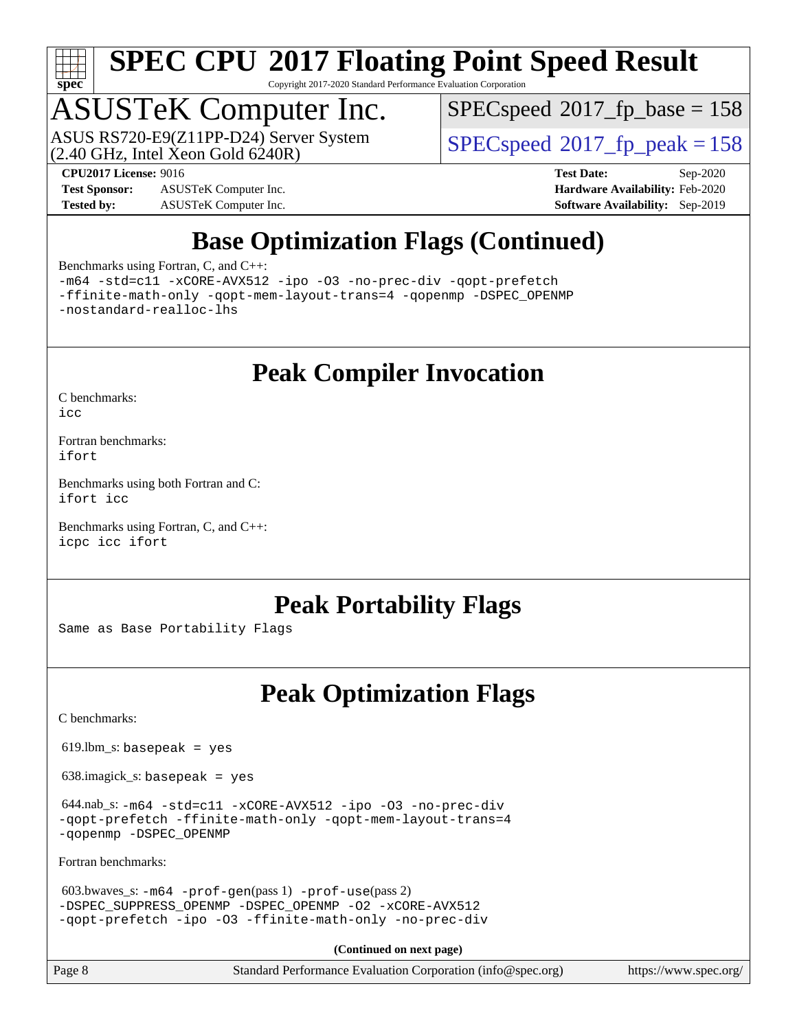

Copyright 2017-2020 Standard Performance Evaluation Corporation

## ASUSTeK Computer Inc.

 $(2.40 \text{ GHz}, \text{Intel } \hat{\text{X}}$ con Gold 6240R) ASUS RS720-E9(Z11PP-D24) Server System  $SPEC speed@2017$  fp\_peak = 158

[SPECspeed](http://www.spec.org/auto/cpu2017/Docs/result-fields.html#SPECspeed2017fpbase)<sup>®</sup>2017 fp base = 158

**[Test Sponsor:](http://www.spec.org/auto/cpu2017/Docs/result-fields.html#TestSponsor)** ASUSTeK Computer Inc. **[Hardware Availability:](http://www.spec.org/auto/cpu2017/Docs/result-fields.html#HardwareAvailability)** Feb-2020 **[Tested by:](http://www.spec.org/auto/cpu2017/Docs/result-fields.html#Testedby)** ASUSTeK Computer Inc. **[Software Availability:](http://www.spec.org/auto/cpu2017/Docs/result-fields.html#SoftwareAvailability)** Sep-2019

**[CPU2017 License:](http://www.spec.org/auto/cpu2017/Docs/result-fields.html#CPU2017License)** 9016 **[Test Date:](http://www.spec.org/auto/cpu2017/Docs/result-fields.html#TestDate)** Sep-2020

## **[Base Optimization Flags \(Continued\)](http://www.spec.org/auto/cpu2017/Docs/result-fields.html#BaseOptimizationFlags)**

[Benchmarks using Fortran, C, and C++:](http://www.spec.org/auto/cpu2017/Docs/result-fields.html#BenchmarksusingFortranCandCXX)

[-m64](http://www.spec.org/cpu2017/results/res2020q4/cpu2017-20201023-24239.flags.html#user_CC_CXX_FCbase_m64-icc) [-std=c11](http://www.spec.org/cpu2017/results/res2020q4/cpu2017-20201023-24239.flags.html#user_CC_CXX_FCbase_std-icc-std_0e1c27790398a4642dfca32ffe6c27b5796f9c2d2676156f2e42c9c44eaad0c049b1cdb667a270c34d979996257aeb8fc440bfb01818dbc9357bd9d174cb8524) [-xCORE-AVX512](http://www.spec.org/cpu2017/results/res2020q4/cpu2017-20201023-24239.flags.html#user_CC_CXX_FCbase_f-xCORE-AVX512) [-ipo](http://www.spec.org/cpu2017/results/res2020q4/cpu2017-20201023-24239.flags.html#user_CC_CXX_FCbase_f-ipo) [-O3](http://www.spec.org/cpu2017/results/res2020q4/cpu2017-20201023-24239.flags.html#user_CC_CXX_FCbase_f-O3) [-no-prec-div](http://www.spec.org/cpu2017/results/res2020q4/cpu2017-20201023-24239.flags.html#user_CC_CXX_FCbase_f-no-prec-div) [-qopt-prefetch](http://www.spec.org/cpu2017/results/res2020q4/cpu2017-20201023-24239.flags.html#user_CC_CXX_FCbase_f-qopt-prefetch) [-ffinite-math-only](http://www.spec.org/cpu2017/results/res2020q4/cpu2017-20201023-24239.flags.html#user_CC_CXX_FCbase_f_finite_math_only_cb91587bd2077682c4b38af759c288ed7c732db004271a9512da14a4f8007909a5f1427ecbf1a0fb78ff2a814402c6114ac565ca162485bbcae155b5e4258871) [-qopt-mem-layout-trans=4](http://www.spec.org/cpu2017/results/res2020q4/cpu2017-20201023-24239.flags.html#user_CC_CXX_FCbase_f-qopt-mem-layout-trans_fa39e755916c150a61361b7846f310bcdf6f04e385ef281cadf3647acec3f0ae266d1a1d22d972a7087a248fd4e6ca390a3634700869573d231a252c784941a8) [-qopenmp](http://www.spec.org/cpu2017/results/res2020q4/cpu2017-20201023-24239.flags.html#user_CC_CXX_FCbase_qopenmp_16be0c44f24f464004c6784a7acb94aca937f053568ce72f94b139a11c7c168634a55f6653758ddd83bcf7b8463e8028bb0b48b77bcddc6b78d5d95bb1df2967) [-DSPEC\\_OPENMP](http://www.spec.org/cpu2017/results/res2020q4/cpu2017-20201023-24239.flags.html#suite_CC_CXX_FCbase_DSPEC_OPENMP) [-nostandard-realloc-lhs](http://www.spec.org/cpu2017/results/res2020q4/cpu2017-20201023-24239.flags.html#user_CC_CXX_FCbase_f_2003_std_realloc_82b4557e90729c0f113870c07e44d33d6f5a304b4f63d4c15d2d0f1fab99f5daaed73bdb9275d9ae411527f28b936061aa8b9c8f2d63842963b95c9dd6426b8a)

**[Peak Compiler Invocation](http://www.spec.org/auto/cpu2017/Docs/result-fields.html#PeakCompilerInvocation)**

[C benchmarks](http://www.spec.org/auto/cpu2017/Docs/result-fields.html#Cbenchmarks):

[icc](http://www.spec.org/cpu2017/results/res2020q4/cpu2017-20201023-24239.flags.html#user_CCpeak_intel_icc_66fc1ee009f7361af1fbd72ca7dcefbb700085f36577c54f309893dd4ec40d12360134090235512931783d35fd58c0460139e722d5067c5574d8eaf2b3e37e92)

[Fortran benchmarks](http://www.spec.org/auto/cpu2017/Docs/result-fields.html#Fortranbenchmarks): [ifort](http://www.spec.org/cpu2017/results/res2020q4/cpu2017-20201023-24239.flags.html#user_FCpeak_intel_ifort_8111460550e3ca792625aed983ce982f94888b8b503583aa7ba2b8303487b4d8a21a13e7191a45c5fd58ff318f48f9492884d4413fa793fd88dd292cad7027ca)

[Benchmarks using both Fortran and C](http://www.spec.org/auto/cpu2017/Docs/result-fields.html#BenchmarksusingbothFortranandC): [ifort](http://www.spec.org/cpu2017/results/res2020q4/cpu2017-20201023-24239.flags.html#user_CC_FCpeak_intel_ifort_8111460550e3ca792625aed983ce982f94888b8b503583aa7ba2b8303487b4d8a21a13e7191a45c5fd58ff318f48f9492884d4413fa793fd88dd292cad7027ca) [icc](http://www.spec.org/cpu2017/results/res2020q4/cpu2017-20201023-24239.flags.html#user_CC_FCpeak_intel_icc_66fc1ee009f7361af1fbd72ca7dcefbb700085f36577c54f309893dd4ec40d12360134090235512931783d35fd58c0460139e722d5067c5574d8eaf2b3e37e92)

[Benchmarks using Fortran, C, and C++:](http://www.spec.org/auto/cpu2017/Docs/result-fields.html#BenchmarksusingFortranCandCXX) [icpc](http://www.spec.org/cpu2017/results/res2020q4/cpu2017-20201023-24239.flags.html#user_CC_CXX_FCpeak_intel_icpc_c510b6838c7f56d33e37e94d029a35b4a7bccf4766a728ee175e80a419847e808290a9b78be685c44ab727ea267ec2f070ec5dc83b407c0218cded6866a35d07) [icc](http://www.spec.org/cpu2017/results/res2020q4/cpu2017-20201023-24239.flags.html#user_CC_CXX_FCpeak_intel_icc_66fc1ee009f7361af1fbd72ca7dcefbb700085f36577c54f309893dd4ec40d12360134090235512931783d35fd58c0460139e722d5067c5574d8eaf2b3e37e92) [ifort](http://www.spec.org/cpu2017/results/res2020q4/cpu2017-20201023-24239.flags.html#user_CC_CXX_FCpeak_intel_ifort_8111460550e3ca792625aed983ce982f94888b8b503583aa7ba2b8303487b4d8a21a13e7191a45c5fd58ff318f48f9492884d4413fa793fd88dd292cad7027ca)

### **[Peak Portability Flags](http://www.spec.org/auto/cpu2017/Docs/result-fields.html#PeakPortabilityFlags)**

Same as Base Portability Flags

### **[Peak Optimization Flags](http://www.spec.org/auto/cpu2017/Docs/result-fields.html#PeakOptimizationFlags)**

[C benchmarks](http://www.spec.org/auto/cpu2017/Docs/result-fields.html#Cbenchmarks):

 $619.$ lbm\_s: basepeak = yes

638.imagick\_s: basepeak = yes

 644.nab\_s: [-m64](http://www.spec.org/cpu2017/results/res2020q4/cpu2017-20201023-24239.flags.html#user_peakCCLD644_nab_s_m64-icc) [-std=c11](http://www.spec.org/cpu2017/results/res2020q4/cpu2017-20201023-24239.flags.html#user_peakCCLD644_nab_s_std-icc-std_0e1c27790398a4642dfca32ffe6c27b5796f9c2d2676156f2e42c9c44eaad0c049b1cdb667a270c34d979996257aeb8fc440bfb01818dbc9357bd9d174cb8524) [-xCORE-AVX512](http://www.spec.org/cpu2017/results/res2020q4/cpu2017-20201023-24239.flags.html#user_peakCOPTIMIZE644_nab_s_f-xCORE-AVX512) [-ipo](http://www.spec.org/cpu2017/results/res2020q4/cpu2017-20201023-24239.flags.html#user_peakCOPTIMIZE644_nab_s_f-ipo) [-O3](http://www.spec.org/cpu2017/results/res2020q4/cpu2017-20201023-24239.flags.html#user_peakCOPTIMIZE644_nab_s_f-O3) [-no-prec-div](http://www.spec.org/cpu2017/results/res2020q4/cpu2017-20201023-24239.flags.html#user_peakCOPTIMIZE644_nab_s_f-no-prec-div) [-qopt-prefetch](http://www.spec.org/cpu2017/results/res2020q4/cpu2017-20201023-24239.flags.html#user_peakCOPTIMIZE644_nab_s_f-qopt-prefetch) [-ffinite-math-only](http://www.spec.org/cpu2017/results/res2020q4/cpu2017-20201023-24239.flags.html#user_peakCOPTIMIZE644_nab_s_f_finite_math_only_cb91587bd2077682c4b38af759c288ed7c732db004271a9512da14a4f8007909a5f1427ecbf1a0fb78ff2a814402c6114ac565ca162485bbcae155b5e4258871) [-qopt-mem-layout-trans=4](http://www.spec.org/cpu2017/results/res2020q4/cpu2017-20201023-24239.flags.html#user_peakCOPTIMIZE644_nab_s_f-qopt-mem-layout-trans_fa39e755916c150a61361b7846f310bcdf6f04e385ef281cadf3647acec3f0ae266d1a1d22d972a7087a248fd4e6ca390a3634700869573d231a252c784941a8) [-qopenmp](http://www.spec.org/cpu2017/results/res2020q4/cpu2017-20201023-24239.flags.html#user_peakCOPTIMIZE644_nab_s_qopenmp_16be0c44f24f464004c6784a7acb94aca937f053568ce72f94b139a11c7c168634a55f6653758ddd83bcf7b8463e8028bb0b48b77bcddc6b78d5d95bb1df2967) [-DSPEC\\_OPENMP](http://www.spec.org/cpu2017/results/res2020q4/cpu2017-20201023-24239.flags.html#suite_peakCOPTIMIZE644_nab_s_DSPEC_OPENMP)

[Fortran benchmarks](http://www.spec.org/auto/cpu2017/Docs/result-fields.html#Fortranbenchmarks):

```
 603.bwaves_s: -m64 -prof-gen(pass 1) -prof-use(pass 2)
-DSPEC_SUPPRESS_OPENMP -DSPEC_OPENMP -O2 -xCORE-AVX512
-qopt-prefetch -ipo -O3 -ffinite-math-only -no-prec-div
```
**(Continued on next page)**

Page 8 Standard Performance Evaluation Corporation [\(info@spec.org\)](mailto:info@spec.org) <https://www.spec.org/>